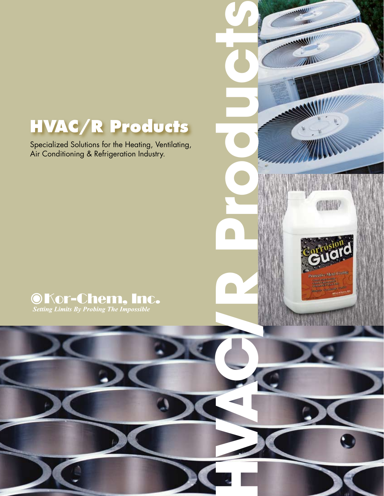# **HVAC/R Products**

Specialized Solutions for the Heating, Ventilating, Air Conditioning & Refrigeration Industry.





建铁钢钢

**MANS!** m

W

**ANIV** 

**HVAC/R Products**

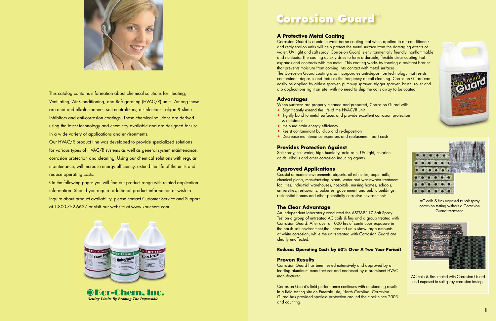

This catalog contains information about chemical solutions for Heating, Ventilating, Air Conditioning, and Refrigerating (HVAC/R) units. Among these are acid and alkali cleaners, salt neutralizers, disinfectants, algae & slime inhibitors and anti-corrosion coatings. These chemical solutions are derived using the latest technology and chemistry available and are designed for use in a wide variety of applications and environments.

Our HVAC/R product line was developed to provide specialized solutions for various types of HVAC/R systems as well as general system maintenance, corrosion protection and cleaning. Using our chemical solutions with regular maintenance, will increase energy efficiency, extend the life of the units and reduce operating costs.

On the following pages you will find our product range with related application information. Should you require additional product information or wish to inquire about product availability, please contact Customer Service and Support at 1-800-752-6627 or visit our website at www.kor-chem.com.



**OKor-Chem. Inc. Setting Limits By Probing The Impossible** 

# **Corrosion Guard**™

### **A Protective Metal Coating**

Corrosion Guard is a unique waterborne coating that when applied to air conditioners and refrigeration units will help protect the metal surface from the damaging effects of water, UV light and salt spray. Corrosion Guard is environmentally friendly, nonflammable and nontoxic. The coating quickly dries to form a durable, flexible clear coating that expands and contracts with the metal. This coating works by forming a resistant barrier that prevents moisture from coming into contact with metal surfaces. The Corrosion Guard coating also incorporates anti-deposition technology that resists contaminant deposits and reduces the frequency of coil cleaning. Corrosion Guard can easily be applied by airless sprayer, pump-up sprayer, trigger sprayer, brush, roller and dip applications right on site, with no need to ship the coils away to be coated.

#### **Advantages**

- When surfaces are properly cleaned and prepared, Corrosion Guard will:
- Significantly extend the life of the HVAC/R unit
- Tightly bond to metal surfaces and provide excellent corrosion protection & resistance
- Help maintain energy efficiency
- Resist contaminant build-up and re-deposition
- Decrease maintenance expenses and replacement part costs

#### **Provides Protection Against**

Salt spray, salt water, high humidity, acid rain, UV light, chlorine, acids, alkalis and other corrosion inducing agents.

### **Approved Applications**

Coastal or marine environments, airports, oil refineries, paper mills, chemical plants, manufacturing plants, water and wastewater treatment facilities, industrial warehouses, hospitals, nursing homes, schools, universities, restaurants, bakeries, government and public buildings, residential homes and other potentially corrosive environments.

#### **The Clear Advantage**

An independent laboratory conducted the ASTM-B117 Salt Spray Test on a group of untreated AC coils & fins and a group treated with Corrosion Guard. After over a 1000 hrs of continuous exposure in the harsh salt environment, the untreated units show large amounts of white corrosion, while the units treated with Corrosion Guard are clearly unaffected.

#### **Reduces Operating Costs by 60% Over A Two Year Period!**

#### **Proven Results**

Corrosion Guard has been tested extensively and approved by a leading aluminum manufacturer and endorsed by a prominent HVAC manufacturer.

Corrosion Guard's field performance continues with outstanding results. In a field testing site on Emerald Isle, North Carolina, Corrosion Guard has provided spotless protection around the clock since 2003 and counting.







AC coils & fins treated with Corrosion Guard and exposed to salt spray corrosion testing.

AC coils & fins exposed to salt spray corrosion testing without a Corrosion Guard treatment.

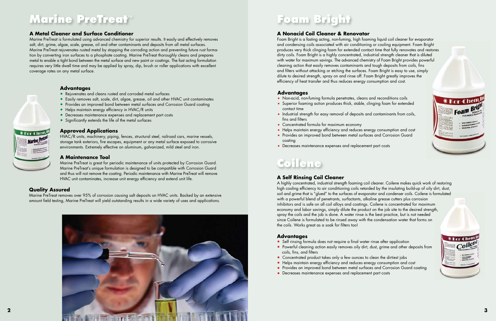## **A Metal Cleaner and Surface Conditioner**

Marine PreTreat is formulated using advanced chemistry for superior results. It easily and effectively removes salt, dirt, grime, algae, scale, grease, oil and other contaminants and deposits from all metal surfaces. Marine PreTreat rejuvenates rusted metal by stopping the corroding action and preventing future rust formation by converting iron surfaces to a phosphate coating. Marine PreTreat thoroughly cleans and prepares metal to enable a tight bond between the metal surface and new paint or coatings. The fast acting formulation requires very little dwell time and may be applied by spray, dip, brush or roller applications with excellent coverage rates on any metal surface.

# **Marine PreTreat**™

# **Coilene**

# **Foam Bright**

## **Advantages**

- Rejuvenates and cleans rusted and corroded metal surfaces
- Easily removes salt, scale, dirt, algae, grease, oil and other HVAC unit contaminates
- Provides an improved bond between metal surfaces and Corrosion Guard coating
- Helps maintain energy efficiency in HVAC/R units
- Decreases maintenance expenses and replacement part costs
- Significantly extends the life of the metal surfaces

### **Approved Applications**

HVAC/R units, machinery, piping, fences, structural steel, railroad cars, marine vessels, storage tank exteriors, fire escapes, equipment or any metal surface exposed to corrosive environments. Extremely effective on aluminum, galvanized, mild steel and iron.

#### **A Maintenance Tool**

Marine PreTreat is great for periodic maintenance of units protected by Corrosion Guard. Marine PreTreat's unique formulation is designed to be compatible with Corrosion Guard and thus will not remove the coating. Periodic maintenance with Marine PreTreat will remove HVAC unit contaminates, increase unit energy efficiency and extend unit life.

- Self rinsing formula does not require a final water rinse after application
- Powerful cleaning action easily removes oily dirt, dust, grime and other deposits from coils, fins, and filters
- Concentrated product takes only a few ounces to clean the dirtiest jobs
- Helps maintain energy efficiency and reduces energy consumption and cost
- Provides an improved bond between metal surfaces and Corrosion Guard coating
- Decreases maintenance expenses and replacement part costs







### **Quality Assured**

Marine PreTreat removes over 95% of corrosion causing salt deposits on HVAC units. Backed by an extensive amount field testing, Marine PreTreat will yield outstanding results in a wide variety of uses and applications.

# **A Self Rinsing Coil Cleaner**

A highly concentrated, industrial strength foaming coil cleaner. Coilene makes quick work of restoring high cooling efficiency to air conditioning coils retarded by the insulating build-up of oily dirt, dust, soil and grime that is "glued" to the surfaces of evaporator and condenser coils. Coilene is formulated with a powerful blend of penetrants, surfactants, alkaline grease cutters plus corrosion inhibitors and is safe on all coil alloys and coatings. Coilene is concentrated for maximum economy and labor savings, simply dilute the product on the job site to the desired strength, spray the coils and the job is done. A water rinse is the best practice, but is not needed since Coilene is formulated to be rinsed away with the condensation water that forms on the coils. Works great as a soak for filters too!

# **Advantages**



# **A Nonacid Coil Cleaner & Renovator**

Foam Bright is a fasting acting, non-fuming, high foaming liquid coil cleaner for evaporator and condensing coils associated with air conditioning or cooling equipment. Foam Bright produces very thick clinging foam for extended contact time that fully renovates and restores dirty coils. Foam Bright is a highly concentrated, industrial strength cleaner that is diluted with water for maximum savings. The advanced chemistry of Foam Bright provides powerful cleaning action that easily removes contaminants and tough deposits from coils, fins and filters without attacking or etching the surfaces. Foam Bright is easy to use, simply dilute to desired strength, spray on and rinse off. Foam Bright greatly improves the efficiency of heat transfer and thus reduces energy consumption and cost.

#### **Advantages**

- Non-acid, non-fuming formula penetrates, cleans and reconditions coils
- Superior foaming action produces thick, stable, clinging foam for extended contact time
- Industrial strength for easy removal of deposits and contaminants from coils, fins and filters
- Concentrated formula for maximum economy
- Helps maintain energy efficiency and reduces energy consumption and cost
- Provides an improved bond between metal surfaces and Corrosion Guard coating
- Decreases maintenance expenses and replacement part costs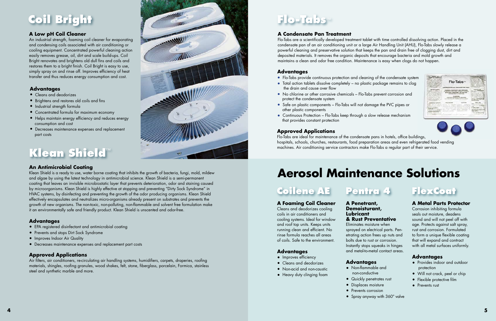# **Klean Shield**™

# **An Antimicrobial Coating**

Klean Shield is a ready to use, water borne coating that inhibits the growth of bacteria, fungi, mold, mildew and algae by using the latest technology in antimicrobial science. Klean Shield is a semi-permanent coating that leaves an invisible microbiostatic layer that prevents deterioration, odor and staining caused by microorganisms. Klean Shield is highly effective at stopping and preventing "Dirty Sock Syndrome" in HVAC systems, by disinfecting and preventing the growth of the odor producing organisms. Klean Shield effectively encapsulates and neutralizes micro-organisms already present on substrates and prevents the growth of new organisms. The non-toxic, non-polluting, non-flammable and solvent free formulation make it an environmentally safe and friendly product. Klean Shield is unscented and odor-free.

### **Advantages**

- EPA registered disinfectant and antimicrobial coating
- Prevents and stops Dirt Sock Syndrome
- **•** Improves Indoor Air Quality
- Decreases maintenance expenses and replacement part costs

### **Approved Applications**

Air filters, air conditioners, re-circulating air handling systems, humidifiers, carpets, draperies, roofing materials, shingles, roofing granules, wood shakes, felt, stone, fiberglass, porcelain, Formica, stainless steel and synthetic marble and more.



# **A Low pH Coil Cleaner**

An industrial strength, foaming coil cleaner for evaporating and condensing coils associated with air conditioning or cooling equipment. Concentrated powerful cleaning action easily removes grease, oil, dirt and scale build-ups. Coil Bright renovates and brightens old dull fins and coils and restores them to a bright finish. Coil Bright is easy to use, simply spray on and rinse off. Improves efficiency of heat transfer and thus reduces energy consumption and cost.

# **Coil Bright**

## **Advantages**

- Cleans and deodorizes
- Brightens and restores old coils and fins
- Industrial strength formula
- Concentrated formula for maximum economy
- Helps maintain energy efficiency and reduces energy consumption and cost
- Decreases maintenance expenses and replacement part costs

# **Flo-Tabs**™

# **A Foaming Coil Cleaner**

Cleans and deodorizes cooling coils in air conditioners and cooling systems. Ideal for window and roof top units. Keeps units running clean and efficient. No rinse formula reaches all areas of coils. Safe to the environment.

- Improves efficiency
- Cleans and deodorizes
- Non-acid and non-caustic
- Heavy duty clinging foam
- 
- 
- Prevents corrosion
- **4 5**



### **Advantages**

# **Coilene AE**

# **Aerosol Maintenance Solutions**

### **A Metal Parts Protector**

Corrosion inhibiting formula seals out moisture, deadens sound and will not peel off with age. Protects against salt spray, rust and corrosion. Formulated to form a unique flexible coating that will expand and contract with all metal surfaces uniformly.

### **Advantages**

- Provides indoor and outdoor protection
- Will not crack, peel or chip
- Flexible protective film
- Prevents rust

#### **A Penetrant, Demoisturant, Lubricant & Rust Preventative**

Eliminates moisture when sprayed on electrical parts. Penetrating action frees up nuts and bolts due to rust or corrosion. Instantly stops squeaks in hinges and metal-to-metal contact areas.

#### **Advantages**

- Non-flammable and
	- non-conductive
- Quickly penetrates rust
- Displaces moisture
- Spray anyway with 360° valve

**Pentra 4 FlexCoat**

# **A Condensate Pan Treatment**

Flo-Tabs are a scientifically developed treatment tablet with time controlled dissolving action. Placed in the condensate pan of an air conditioning unit or a large Air Handling Unit (AHU), Flo-Tabs slowly release a powerful cleaning and preservative solution that keeps the pan and drain free of clogging dust, dirt and deposited materials. It removes the organic deposits that encourage bacteria and mold growth and maintains a clean and odor free condition. Maintenance is easy when clogs do not happen.

## **Advantages**

- Flo-Tabs provide continuous protection and cleaning of the condensate system
- Total action tablets dissolve completely no plastic package remains to clog the drain and cause over flow
- No chlorine or other corrosive chemicals Flo-Tabs prevent corrosion and protect the condensate system
- Safe on plastic components Flo-Tabs will not damage the PVC pipes or other plastic components
- Continuous Protection Flo-Tabs keep through a slow release mechanism that provides constant protection

## **Approved Applications**

Flo-Tabs are ideal for maintenance of the condensate pans in hotels, office buildings, hospitals, schools, churches, restaurants, food preparation areas and even refrigerated food vending machines. Air conditioning service contractors make Flo-Tabs a regular part of their service.